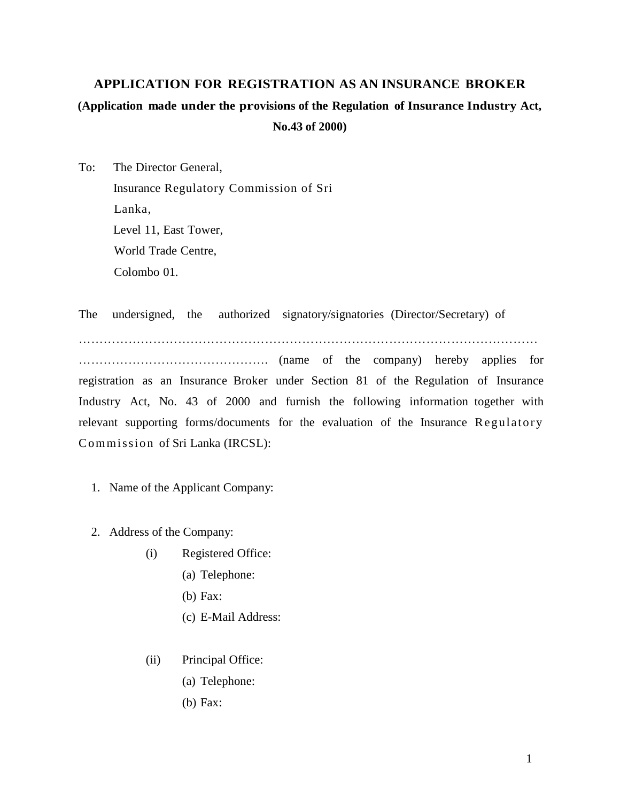# **APPLICATION FOR REGISTRATION AS AN INSURANCE BROKER (Application made under the provisions of the Regulation of Insurance Industry Act, No.43 of 2000)**

To: The Director General, Insurance Regulatory Commission of Sri Lanka, Level 11, East Tower, World Trade Centre, Colombo 01.

The undersigned, the authorized signatory/signatories (Director/Secretary) of

…………………………………………………………………………………………………

………………………………………. (name of the company) hereby applies for registration as an Insurance Broker under Section 81 of the Regulation of Insurance Industry Act, No. 43 of 2000 and furnish the following information together with relevant supporting forms/documents for the evaluation of the Insurance Regulatory Commission of Sri Lanka (IRCSL):

- 1. Name of the Applicant Company:
- 2. Address of the Company:
	- (i) Registered Office:
		- (a) Telephone:
		- (b) Fax:
		- (c) E-Mail Address:
	- (ii) Principal Office:
		- (a) Telephone:
		- (b) Fax: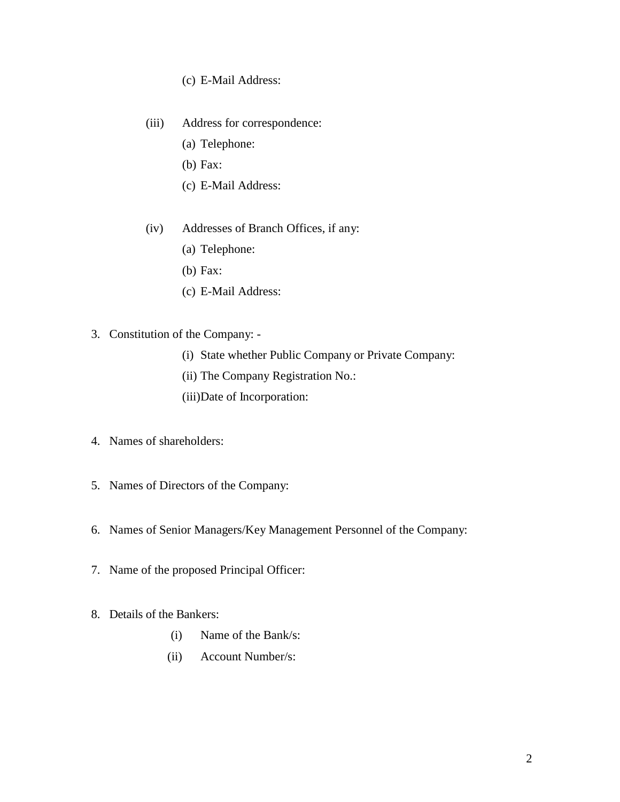### (c) E-Mail Address:

- (iii) Address for correspondence:
	- (a) Telephone:
	- (b) Fax:
	- (c) E-Mail Address:
- (iv) Addresses of Branch Offices, if any:
	- (a) Telephone:
	- (b) Fax:
	- (c) E-Mail Address:
- 3. Constitution of the Company:
	- (i) State whether Public Company or Private Company:
	- (ii) The Company Registration No.:
	- (iii)Date of Incorporation:
- 4. Names of shareholders:
- 5. Names of Directors of the Company:
- 6. Names of Senior Managers/Key Management Personnel of the Company:
- 7. Name of the proposed Principal Officer:
- 8. Details of the Bankers:
	- (i) Name of the Bank/s:
	- (ii) Account Number/s: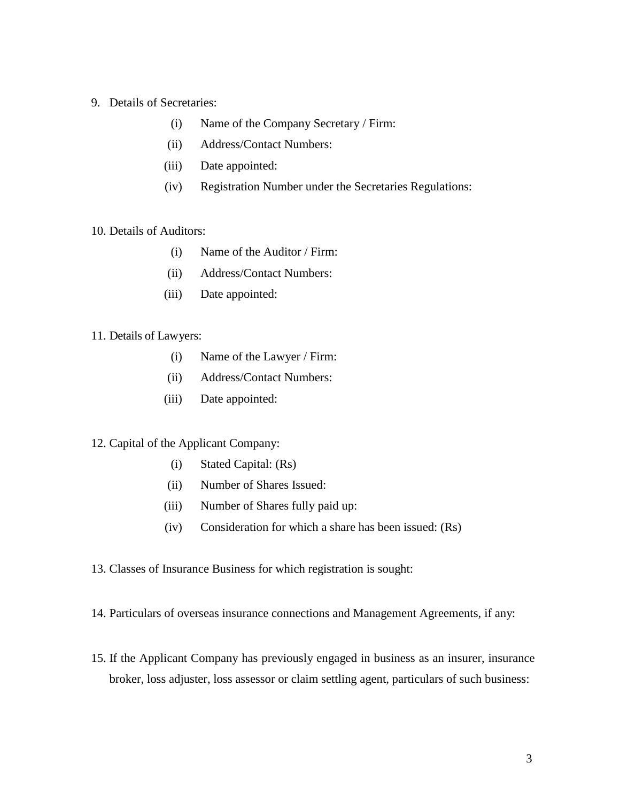- 9. Details of Secretaries:
	- (i) Name of the Company Secretary / Firm:
	- (ii) Address/Contact Numbers:
	- (iii) Date appointed:
	- (iv) Registration Number under the Secretaries Regulations:

### 10. Details of Auditors:

- (i) Name of the Auditor / Firm:
- (ii) Address/Contact Numbers:
- (iii) Date appointed:

#### 11. Details of Lawyers:

- (i) Name of the Lawyer / Firm:
- (ii) Address/Contact Numbers:
- (iii) Date appointed:

### 12. Capital of the Applicant Company:

- (i) Stated Capital: (Rs)
- (ii) Number of Shares Issued:
- (iii) Number of Shares fully paid up:
- (iv) Consideration for which a share has been issued: (Rs)
- 13. Classes of Insurance Business for which registration is sought:
- 14. Particulars of overseas insurance connections and Management Agreements, if any:
- 15. If the Applicant Company has previously engaged in business as an insurer, insurance broker, loss adjuster, loss assessor or claim settling agent, particulars of such business: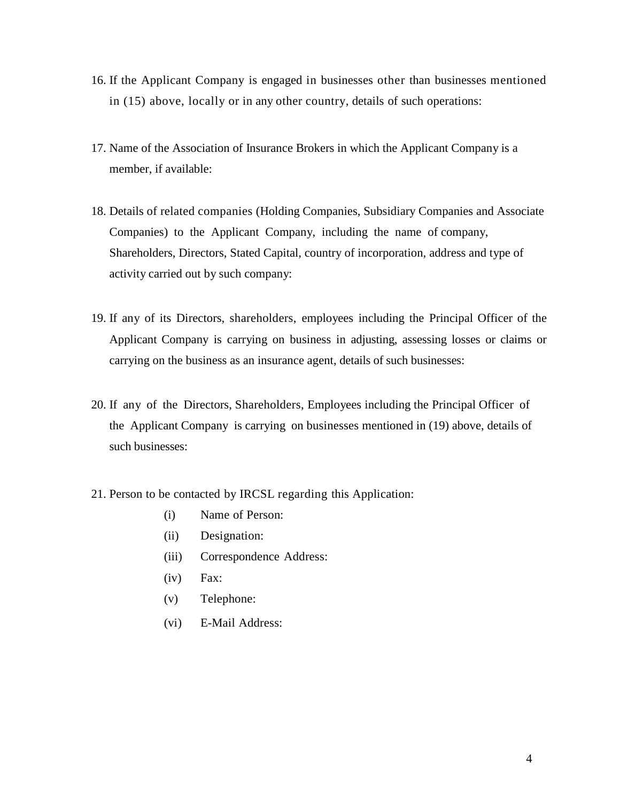- 16. If the Applicant Company is engaged in businesses other than businesses mentioned in (15) above, locally or in any other country, details of such operations:
- 17. Name of the Association of Insurance Brokers in which the Applicant Company is a member, if available:
- 18. Details of related companies (Holding Companies, Subsidiary Companies and Associate Companies) to the Applicant Company, including the name of company, Shareholders, Directors, Stated Capital, country of incorporation, address and type of activity carried out by such company:
- 19. If any of its Directors, shareholders, employees including the Principal Officer of the Applicant Company is carrying on business in adjusting, assessing losses or claims or carrying on the business as an insurance agent, details of such businesses:
- 20. If any of the Directors, Shareholders, Employees including the Principal Officer of the Applicant Company is carrying on businesses mentioned in (19) above, details of such businesses:
- 21. Person to be contacted by IRCSL regarding this Application:
	- (i) Name of Person:
	- (ii) Designation:
	- (iii) Correspondence Address:
	- (iv) Fax:
	- (v) Telephone:
	- (vi) E-Mail Address: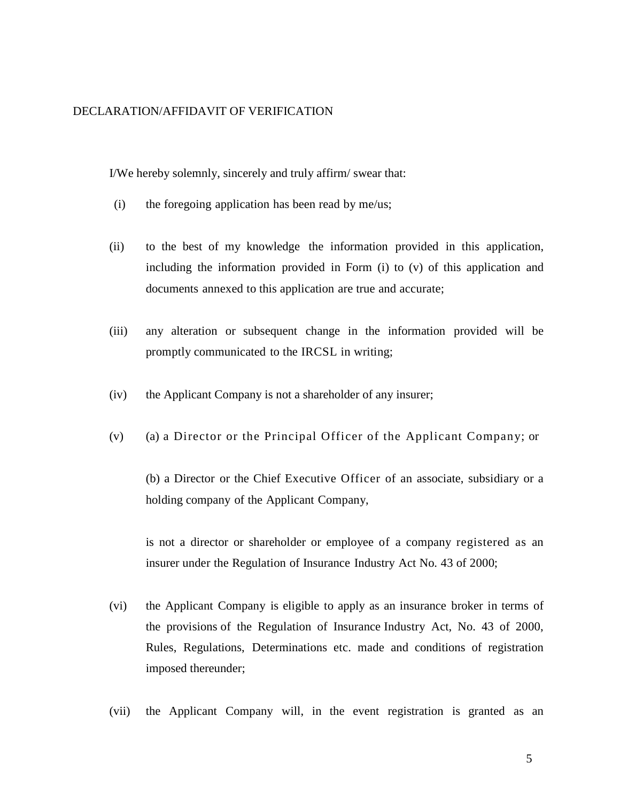### DECLARATION/AFFIDAVIT OF VERIFICATION

I/We hereby solemnly, sincerely and truly affirm/ swear that:

- (i) the foregoing application has been read by me/us;
- (ii) to the best of my knowledge the information provided in this application, including the information provided in Form (i) to (v) of this application and documents annexed to this application are true and accurate;
- (iii) any alteration or subsequent change in the information provided will be promptly communicated to the IRCSL in writing;
- (iv) the Applicant Company is not a shareholder of any insurer;
- (v) (a) a Director or the Principal Officer of the Applicant Company; or

(b) a Director or the Chief Executive Officer of an associate, subsidiary or a holding company of the Applicant Company,

is not a director or shareholder or employee of a company registered as an insurer under the Regulation of Insurance Industry Act No. 43 of 2000;

- (vi) the Applicant Company is eligible to apply as an insurance broker in terms of the provisions of the Regulation of Insurance Industry Act, No. 43 of 2000, Rules, Regulations, Determinations etc. made and conditions of registration imposed thereunder;
- (vii) the Applicant Company will, in the event registration is granted as an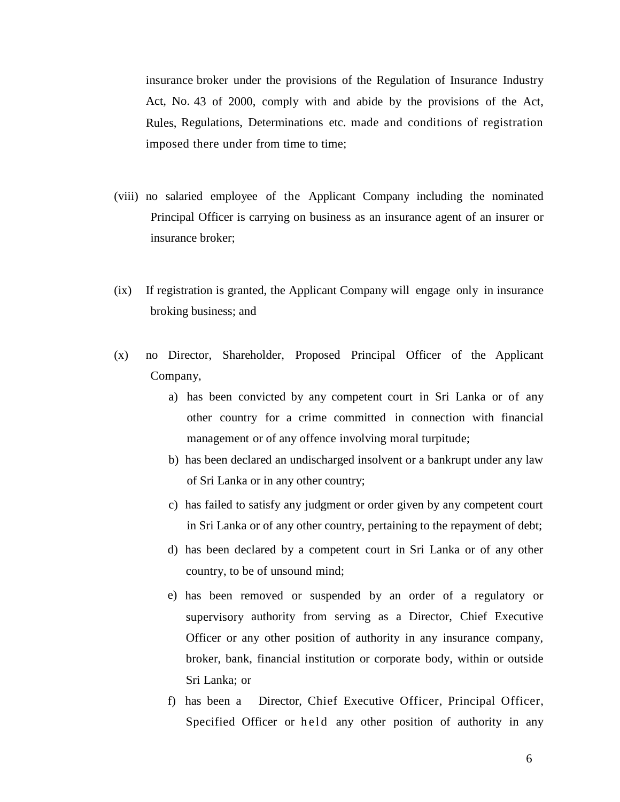insurance broker under the provisions of the Regulation of Insurance Industry Act, No. 43 of 2000, comply with and abide by the provisions of the Act, Rules, Regulations, Determinations etc. made and conditions of registration imposed there under from time to time;

- (viii) no salaried employee of the Applicant Company including the nominated Principal Officer is carrying on business as an insurance agent of an insurer or insurance broker;
- (ix) If registration is granted, the Applicant Company will engage only in insurance broking business; and
- (x) no Director, Shareholder, Proposed Principal Officer of the Applicant Company,
	- a) has been convicted by any competent court in Sri Lanka or of any other country for a crime committed in connection with financial management or of any offence involving moral turpitude;
	- b) has been declared an undischarged insolvent or a bankrupt under any law of Sri Lanka or in any other country;
	- c) has failed to satisfy any judgment or order given by any competent court in Sri Lanka or of any other country, pertaining to the repayment of debt;
	- d) has been declared by a competent court in Sri Lanka or of any other country, to be of unsound mind;
	- e) has been removed or suspended by an order of a regulatory or supervisory authority from serving as a Director, Chief Executive Officer or any other position of authority in any insurance company, broker, bank, financial institution or corporate body, within or outside Sri Lanka; or
	- f) has been a Director, Chief Executive Officer, Principal Officer, Specified Officer or held any other position of authority in any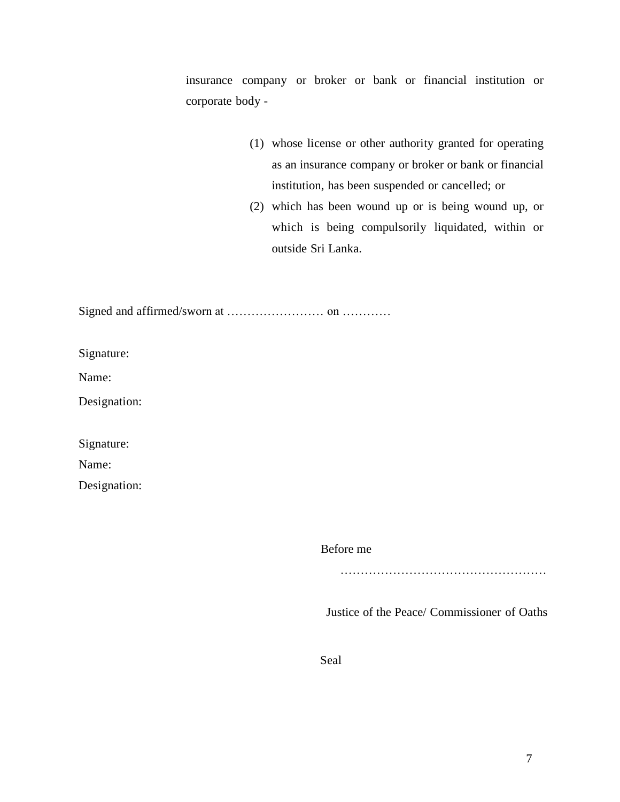insurance company or broker or bank or financial institution or corporate body -

- (1) whose license or other authority granted for operating as an insurance company or broker or bank or financial institution, has been suspended or cancelled; or
- (2) which has been wound up or is being wound up, or which is being compulsorily liquidated, within or outside Sri Lanka.

Signed and affirmed/sworn at …………………… on …………

Signature:

Name:

Designation:

Signature:

Name:

Designation:

Before me

………………………………………………………………

Justice of the Peace/ Commissioner of Oaths

Seal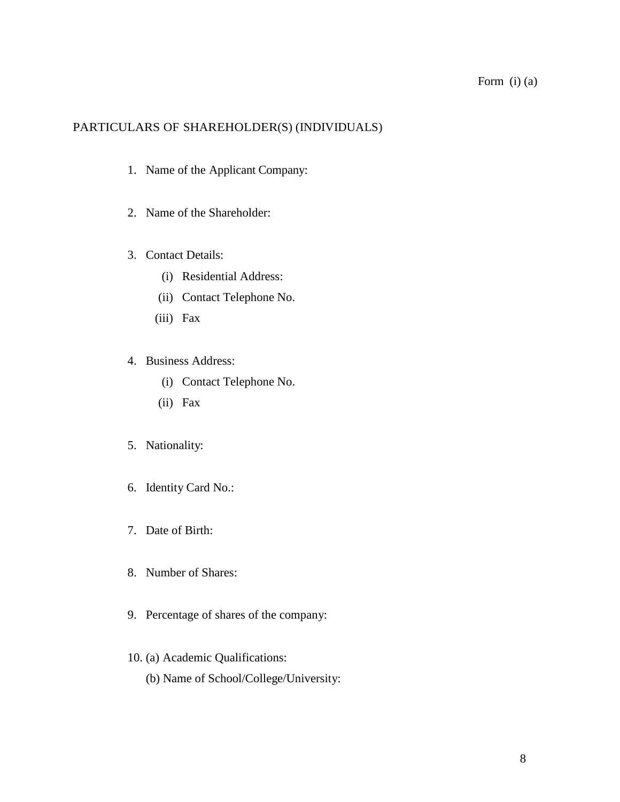### PARTICULARS OF SHAREHOLDER(S) (INDIVIDUALS)

- 1. Name of the Applicant Company:
- 2. Name of the Shareholder:
- 3. Contact Details:
	- (i) Residential Address:
	- (ii) Contact Telephone No.
	- (iii) Fax
- 4. Business Address:
	- (i) Contact Telephone No.
	- (ii) Fax
- 5. Nationality:
- 6. Identity Card No.:
- 7. Date of Birth:
- 8. Number of Shares:
- 9. Percentage of shares of the company:
- 10. (a) Academic Qualifications:
	- (b) Name of School/College/University: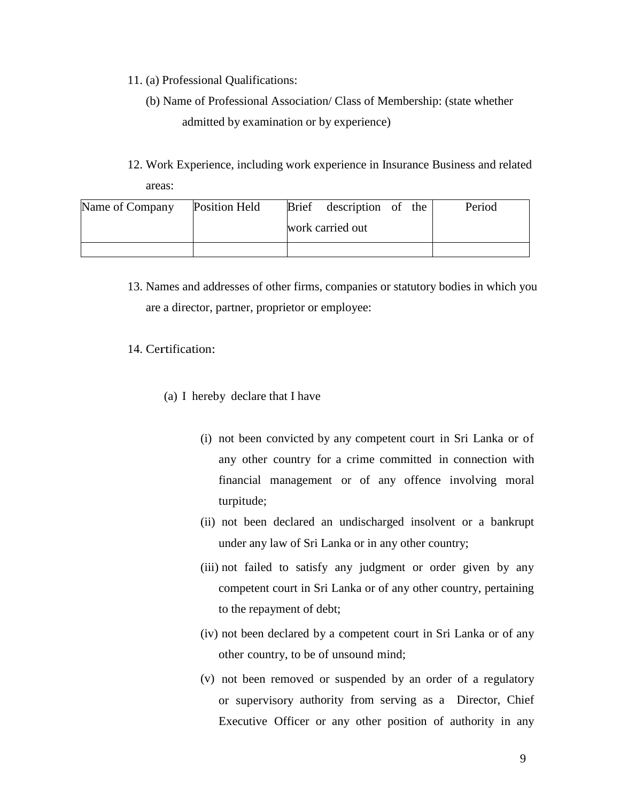- 11. (a) Professional Qualifications:
	- (b) Name of Professional Association/ Class of Membership: (state whether admitted by examination or by experience)
- 12. Work Experience, including work experience in Insurance Business and related areas:

| Name of Company | <b>Position Held</b> |                  | Brief description of the |  |  | Period |
|-----------------|----------------------|------------------|--------------------------|--|--|--------|
|                 |                      | work carried out |                          |  |  |        |
|                 |                      |                  |                          |  |  |        |

13. Names and addresses of other firms, companies or statutory bodies in which you are a director, partner, proprietor or employee:

### 14. Certification:

- (a) I hereby declare that I have
	- (i) not been convicted by any competent court in Sri Lanka or of any other country for a crime committed in connection with financial management or of any offence involving moral turpitude;
	- (ii) not been declared an undischarged insolvent or a bankrupt under any law of Sri Lanka or in any other country;
	- (iii) not failed to satisfy any judgment or order given by any competent court in Sri Lanka or of any other country, pertaining to the repayment of debt;
	- (iv) not been declared by a competent court in Sri Lanka or of any other country, to be of unsound mind;
	- (v) not been removed or suspended by an order of a regulatory or supervisory authority from serving as a Director, Chief Executive Officer or any other position of authority in any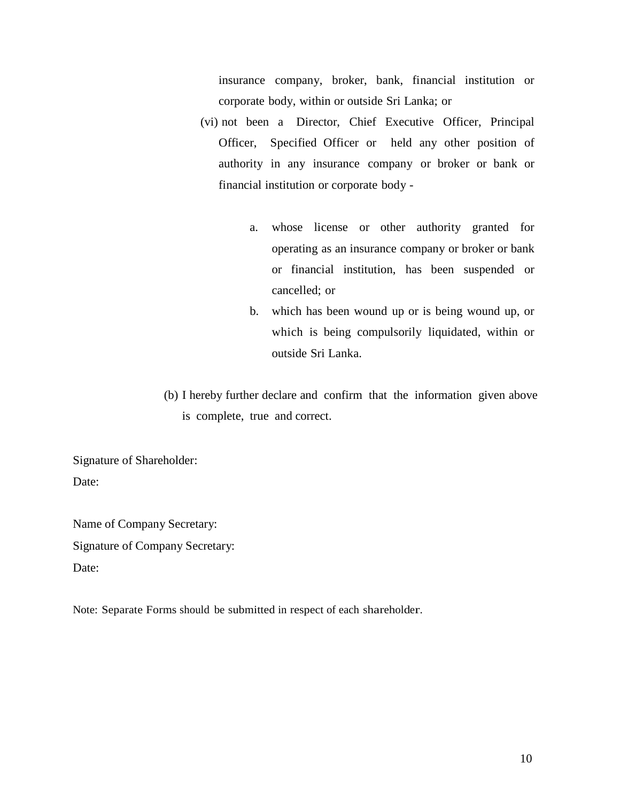insurance company, broker, bank, financial institution or corporate body, within or outside Sri Lanka; or

- (vi) not been a Director, Chief Executive Officer, Principal Officer, Specified Officer or held any other position of authority in any insurance company or broker or bank or financial institution or corporate body
	- a. whose license or other authority granted for operating as an insurance company or broker or bank or financial institution, has been suspended or cancelled; or
	- b. which has been wound up or is being wound up, or which is being compulsorily liquidated, within or outside Sri Lanka.
- (b) I hereby further declare and confirm that the information given above is complete, true and correct.

Signature of Shareholder: Date:

Name of Company Secretary: Signature of Company Secretary: Date:

Note: Separate Forms should be submitted in respect of each shareholder.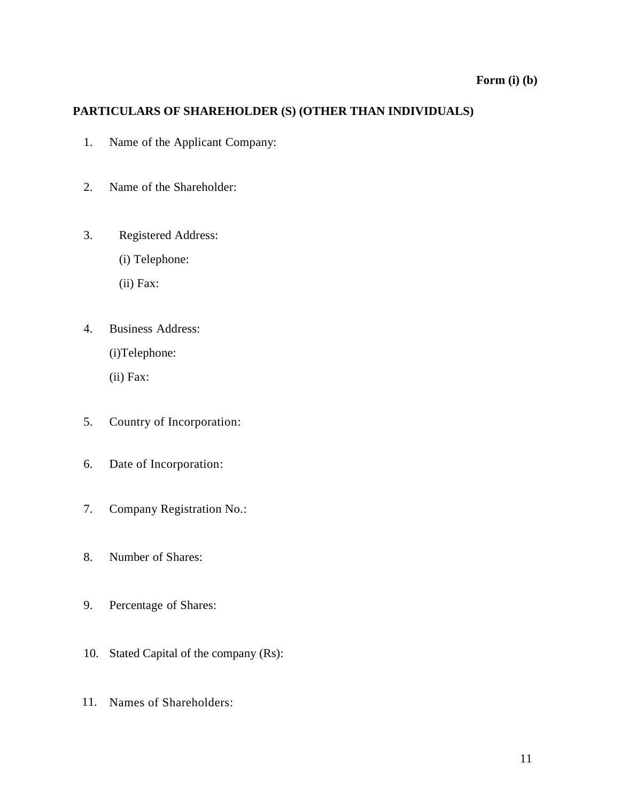# **Form (i) (b)**

# **PARTICULARS OF SHAREHOLDER (S) (OTHER THAN INDIVIDUALS)**

- 1. Name of the Applicant Company:
- 2. Name of the Shareholder:
- 3. Registered Address:
	- (i) Telephone:
	- (ii) Fax:
- 4. Business Address:
	- (i)Telephone:
	- (ii) Fax:
- 5. Country of Incorporation:
- 6. Date of Incorporation:
- 7. Company Registration No.:
- 8. Number of Shares:
- 9. Percentage of Shares:
- 10. Stated Capital of the company (Rs):
- 11. Names of Shareholders: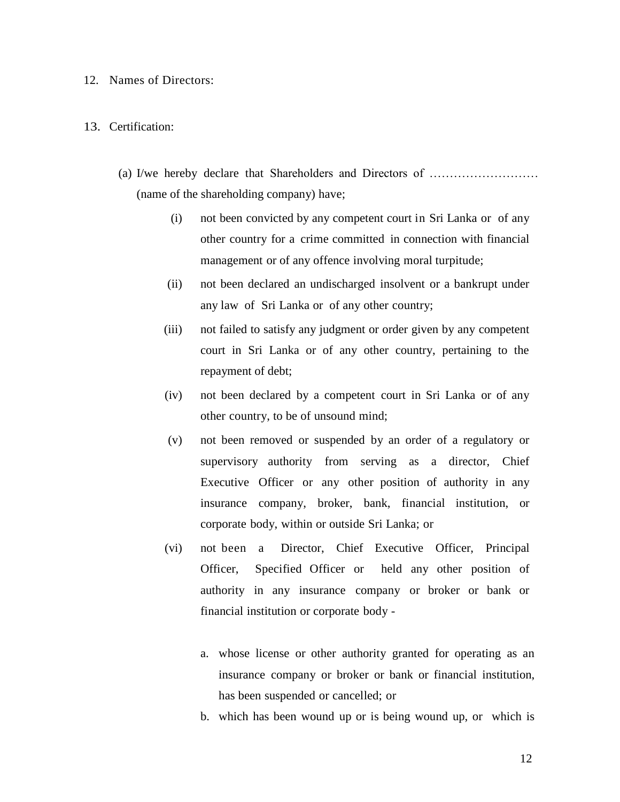#### 12. Names of Directors:

#### 13. Certification:

- (a) I/we hereby declare that Shareholders and Directors of ……………………… (name of the shareholding company) have;
	- (i) not been convicted by any competent court in Sri Lanka or of any other country for a crime committed in connection with financial management or of any offence involving moral turpitude;
	- (ii) not been declared an undischarged insolvent or a bankrupt under any law of Sri Lanka or of any other country;
	- (iii) not failed to satisfy any judgment or order given by any competent court in Sri Lanka or of any other country, pertaining to the repayment of debt;
	- (iv) not been declared by a competent court in Sri Lanka or of any other country, to be of unsound mind;
	- (v) not been removed or suspended by an order of a regulatory or supervisory authority from serving as a director, Chief Executive Officer or any other position of authority in any insurance company, broker, bank, financial institution, or corporate body, within or outside Sri Lanka; or
	- (vi) not been a Director, Chief Executive Officer, Principal Officer, Specified Officer or held any other position of authority in any insurance company or broker or bank or financial institution or corporate body
		- a. whose license or other authority granted for operating as an insurance company or broker or bank or financial institution, has been suspended or cancelled; or
		- b. which has been wound up or is being wound up, or which is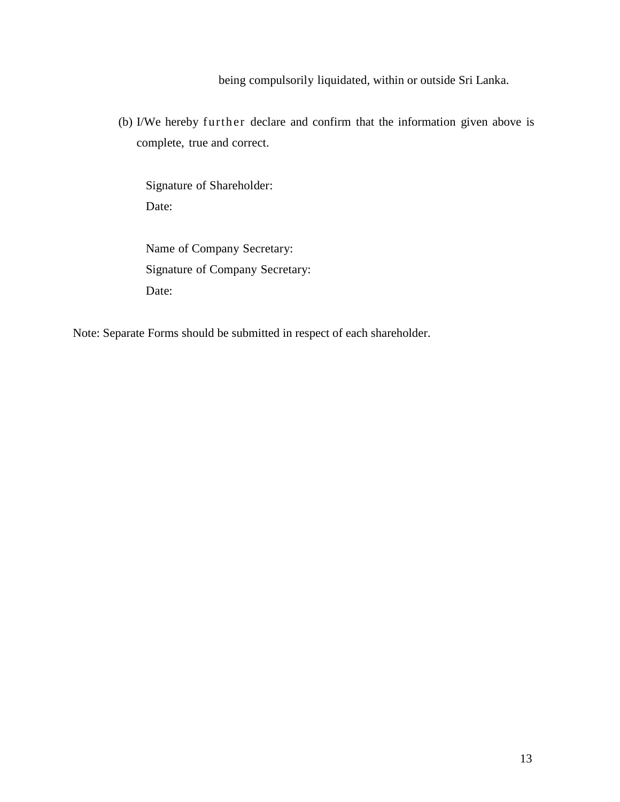being compulsorily liquidated, within or outside Sri Lanka.

(b) I/We hereby further declare and confirm that the information given above is complete, true and correct.

Signature of Shareholder: Date:

Name of Company Secretary: Signature of Company Secretary: Date:

Note: Separate Forms should be submitted in respect of each shareholder.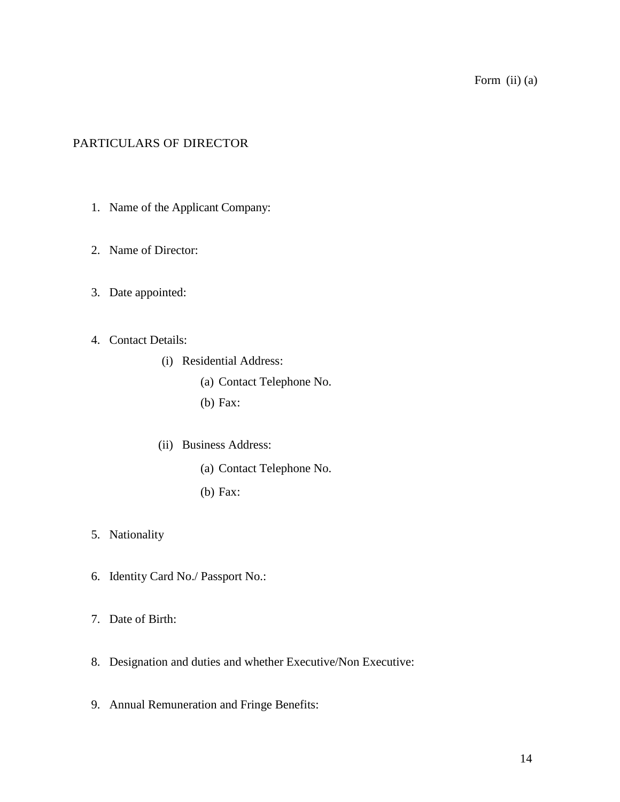## PARTICULARS OF DIRECTOR

- 1. Name of the Applicant Company:
- 2. Name of Director:
- 3. Date appointed:
- 4. Contact Details:
	- (i) Residential Address:
		- (a) Contact Telephone No.
		- (b) Fax:
	- (ii) Business Address:
		- (a) Contact Telephone No.
		- (b) Fax:
- 5. Nationality
- 6. Identity Card No./ Passport No.:
- 7. Date of Birth:
- 8. Designation and duties and whether Executive/Non Executive:
- 9. Annual Remuneration and Fringe Benefits: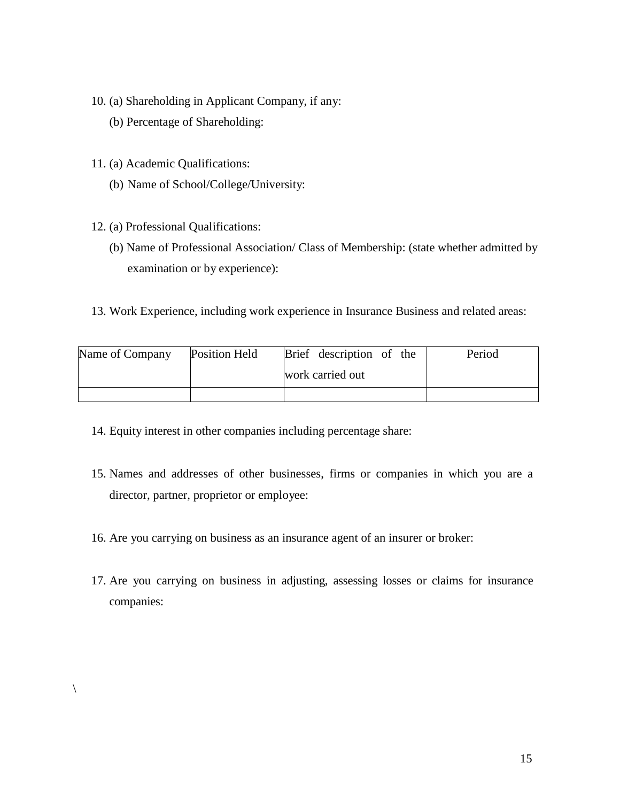- 10. (a) Shareholding in Applicant Company, if any:
	- (b) Percentage of Shareholding:
- 11. (a) Academic Qualifications:
	- (b) Name of School/College/University:
- 12. (a) Professional Qualifications:
	- (b) Name of Professional Association/ Class of Membership: (state whether admitted by examination or by experience):
- 13. Work Experience, including work experience in Insurance Business and related areas:

| Name of Company | Position Held | Brief description of the | Period |
|-----------------|---------------|--------------------------|--------|
|                 |               | work carried out         |        |
|                 |               |                          |        |

- 14. Equity interest in other companies including percentage share:
- 15. Names and addresses of other businesses, firms or companies in which you are a director, partner, proprietor or employee:
- 16. Are you carrying on business as an insurance agent of an insurer or broker:
- 17. Are you carrying on business in adjusting, assessing losses or claims for insurance companies: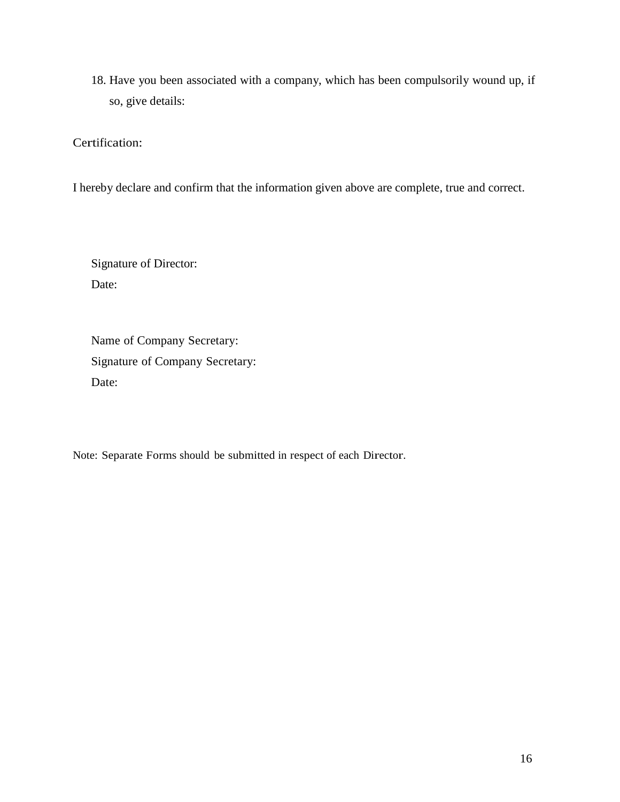18. Have you been associated with a company, which has been compulsorily wound up, if so, give details:

Certification:

I hereby declare and confirm that the information given above are complete, true and correct.

Signature of Director: Date:

Name of Company Secretary: Signature of Company Secretary: Date:

Note: Separate Forms should be submitted in respect of each Director.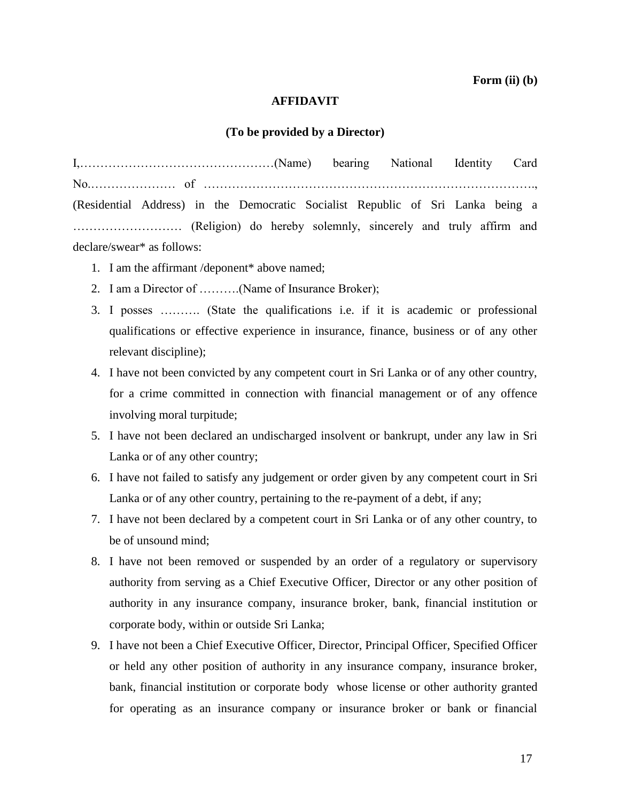#### **AFFIDAVIT**

#### **(To be provided by a Director)**

I,…………………………………………(Name) bearing National Identity Card No.………………… of ………………………………………………………………………., (Residential Address) in the Democratic Socialist Republic of Sri Lanka being a ……………………… (Religion) do hereby solemnly, sincerely and truly affirm and declare/swear\* as follows:

- 1. I am the affirmant /deponent\* above named;
- 2. I am a Director of ……….(Name of Insurance Broker);
- 3. I posses ………. (State the qualifications i.e. if it is academic or professional qualifications or effective experience in insurance, finance, business or of any other relevant discipline);
- 4. I have not been convicted by any competent court in Sri Lanka or of any other country, for a crime committed in connection with financial management or of any offence involving moral turpitude;
- 5. I have not been declared an undischarged insolvent or bankrupt, under any law in Sri Lanka or of any other country;
- 6. I have not failed to satisfy any judgement or order given by any competent court in Sri Lanka or of any other country, pertaining to the re-payment of a debt, if any;
- 7. I have not been declared by a competent court in Sri Lanka or of any other country, to be of unsound mind;
- 8. I have not been removed or suspended by an order of a regulatory or supervisory authority from serving as a Chief Executive Officer, Director or any other position of authority in any insurance company, insurance broker, bank, financial institution or corporate body, within or outside Sri Lanka;
- 9. I have not been a Chief Executive Officer, Director, Principal Officer, Specified Officer or held any other position of authority in any insurance company, insurance broker, bank, financial institution or corporate body whose license or other authority granted for operating as an insurance company or insurance broker or bank or financial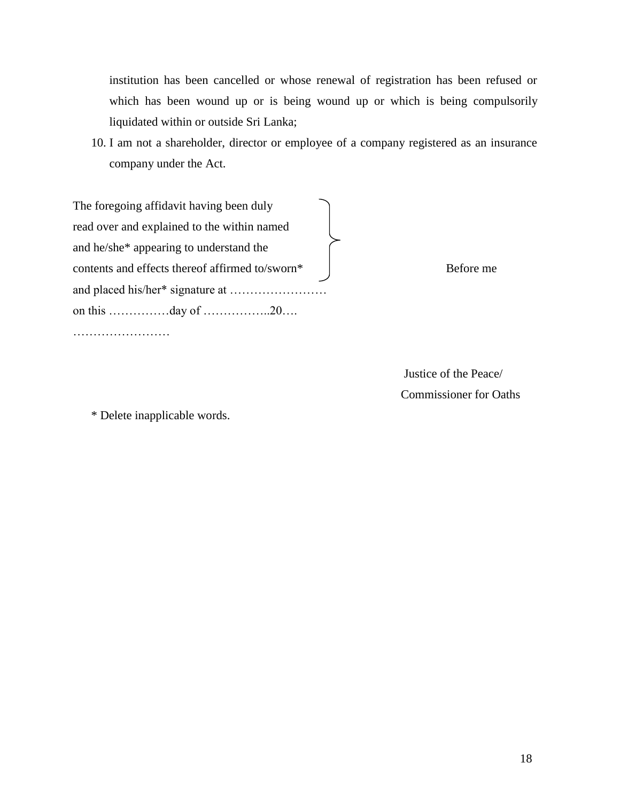institution has been cancelled or whose renewal of registration has been refused or which has been wound up or is being wound up or which is being compulsorily liquidated within or outside Sri Lanka;

10. I am not a shareholder, director or employee of a company registered as an insurance company under the Act.

The foregoing affidavit having been duly read over and explained to the within named and he/she\* appearing to understand the contents and effects thereof affirmed to/sworn\* Before me and placed his/her\* signature at …………………… on this ……………day of ……………..20….

……………………

 Justice of the Peace/ Commissioner for Oaths

\* Delete inapplicable words.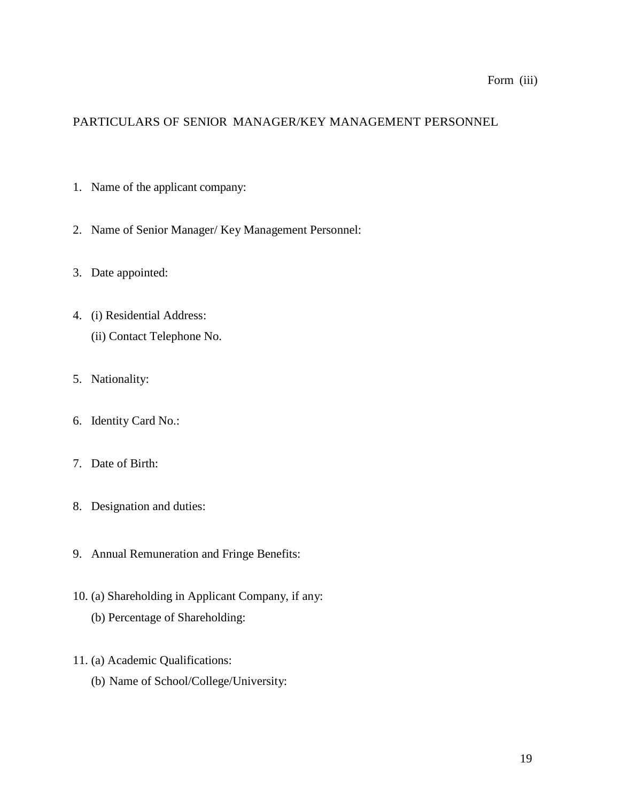# Form (iii)

# PARTICULARS OF SENIOR MANAGER/KEY MANAGEMENT PERSONNEL

- 1. Name of the applicant company:
- 2. Name of Senior Manager/ Key Management Personnel:
- 3. Date appointed:
- 4. (i) Residential Address: (ii) Contact Telephone No.
- 5. Nationality:
- 6. Identity Card No.:
- 7. Date of Birth:
- 8. Designation and duties:
- 9. Annual Remuneration and Fringe Benefits:
- 10. (a) Shareholding in Applicant Company, if any: (b) Percentage of Shareholding:
- 11. (a) Academic Qualifications:
	- (b) Name of School/College/University: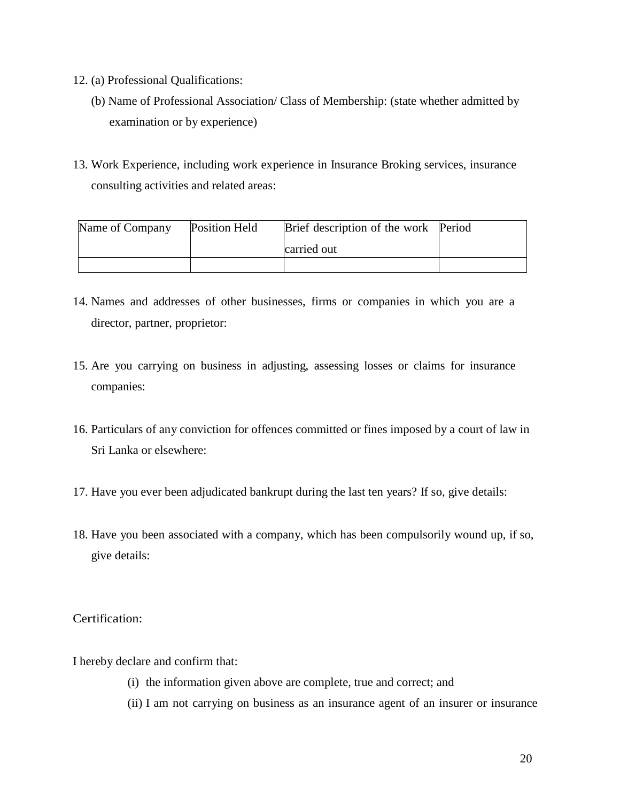- 12. (a) Professional Qualifications:
	- (b) Name of Professional Association/ Class of Membership: (state whether admitted by examination or by experience)
- 13. Work Experience, including work experience in Insurance Broking services, insurance consulting activities and related areas:

| Name of Company | Position Held | Brief description of the work Period |  |
|-----------------|---------------|--------------------------------------|--|
|                 |               | carried out                          |  |
|                 |               |                                      |  |

- 14. Names and addresses of other businesses, firms or companies in which you are a director, partner, proprietor:
- 15. Are you carrying on business in adjusting, assessing losses or claims for insurance companies:
- 16. Particulars of any conviction for offences committed or fines imposed by a court of law in Sri Lanka or elsewhere:
- 17. Have you ever been adjudicated bankrupt during the last ten years? If so, give details:
- 18. Have you been associated with a company, which has been compulsorily wound up, if so, give details:

Certification:

I hereby declare and confirm that:

- (i) the information given above are complete, true and correct; and
- (ii) I am not carrying on business as an insurance agent of an insurer or insurance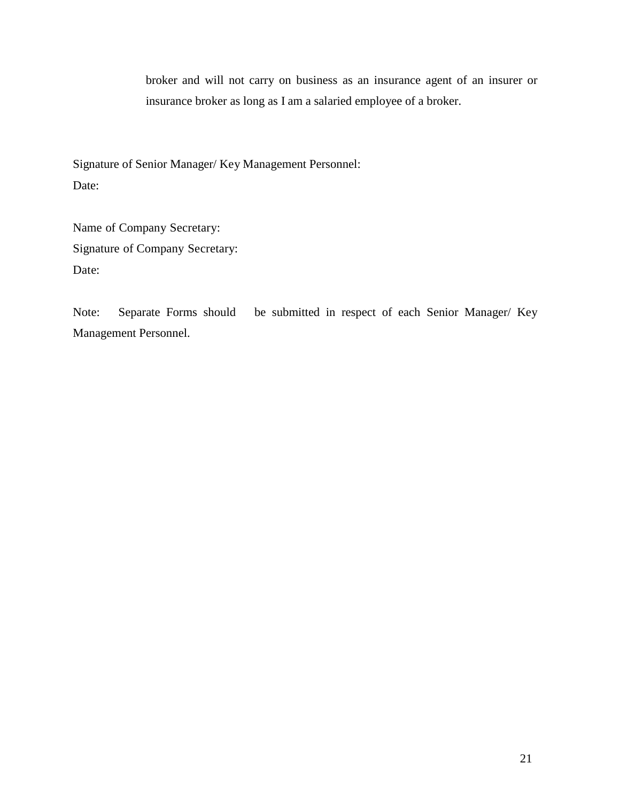broker and will not carry on business as an insurance agent of an insurer or insurance broker as long as I am a salaried employee of a broker.

Signature of Senior Manager/ Key Management Personnel: Date:

Name of Company Secretary: Signature of Company Secretary: Date:

Note: Separate Forms should be submitted in respect of each Senior Manager/ Key Management Personnel.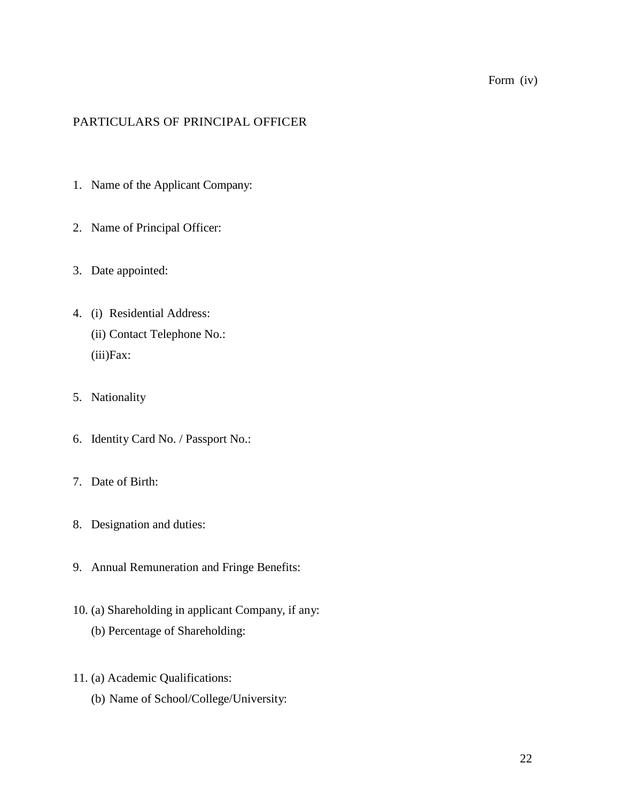# Form (iv)

# PARTICULARS OF PRINCIPAL OFFICER

- 1. Name of the Applicant Company:
- 2. Name of Principal Officer:
- 3. Date appointed:
- 4. (i) Residential Address: (ii) Contact Telephone No.: (iii)Fax:
- 5. Nationality
- 6. Identity Card No. / Passport No.:
- 7. Date of Birth:
- 8. Designation and duties:
- 9. Annual Remuneration and Fringe Benefits:
- 10. (a) Shareholding in applicant Company, if any: (b) Percentage of Shareholding:
- 11. (a) Academic Qualifications:
	- (b) Name of School/College/University: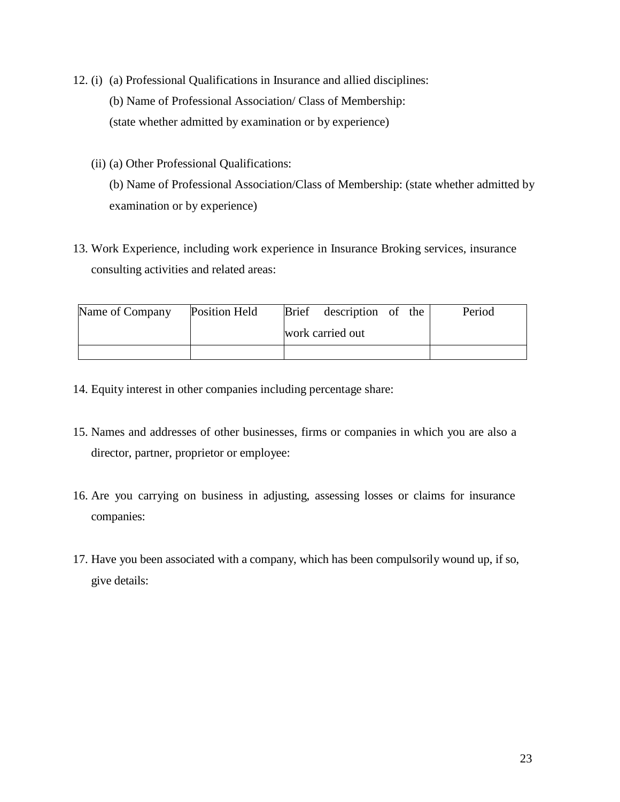- 12. (i) (a) Professional Qualifications in Insurance and allied disciplines: (b) Name of Professional Association/ Class of Membership: (state whether admitted by examination or by experience)
	- (ii) (a) Other Professional Qualifications: (b) Name of Professional Association/Class of Membership: (state whether admitted by examination or by experience)
- 13. Work Experience, including work experience in Insurance Broking services, insurance consulting activities and related areas:

| Name of Company | Position Held |                  | Brief description of the |  |  | Period |
|-----------------|---------------|------------------|--------------------------|--|--|--------|
|                 |               | work carried out |                          |  |  |        |
|                 |               |                  |                          |  |  |        |

- 14. Equity interest in other companies including percentage share:
- 15. Names and addresses of other businesses, firms or companies in which you are also a director, partner, proprietor or employee:
- 16. Are you carrying on business in adjusting, assessing losses or claims for insurance companies:
- 17. Have you been associated with a company, which has been compulsorily wound up, if so, give details: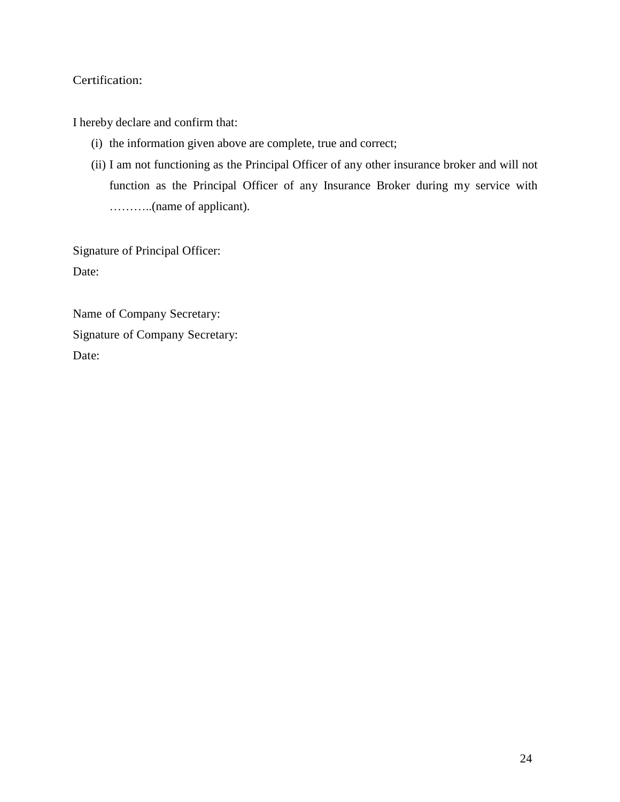# Certification:

I hereby declare and confirm that:

- (i) the information given above are complete, true and correct;
- (ii) I am not functioning as the Principal Officer of any other insurance broker and will not function as the Principal Officer of any Insurance Broker during my service with ………..(name of applicant).

Signature of Principal Officer: Date:

Name of Company Secretary: Signature of Company Secretary: Date: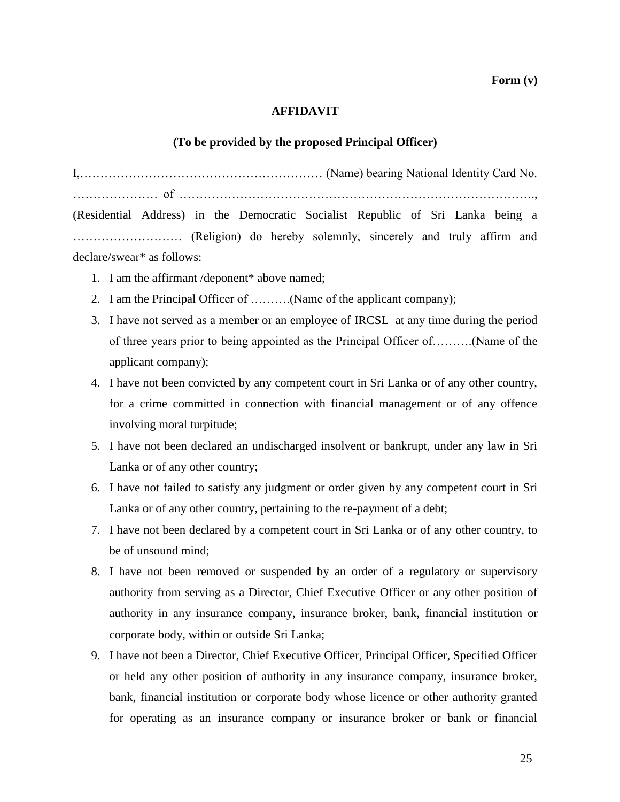**Form (v)** 

### **AFFIDAVIT**

#### **(To be provided by the proposed Principal Officer)**

I,…………………………………………………… (Name) bearing National Identity Card No. ………………… of ……………………………………………………………………………., (Residential Address) in the Democratic Socialist Republic of Sri Lanka being a ……………………… (Religion) do hereby solemnly, sincerely and truly affirm and declare/swear\* as follows:

- 1. I am the affirmant /deponent\* above named;
- 2. I am the Principal Officer of ……….(Name of the applicant company);
- 3. I have not served as a member or an employee of IRCSL at any time during the period of three years prior to being appointed as the Principal Officer of……….(Name of the applicant company);
- 4. I have not been convicted by any competent court in Sri Lanka or of any other country, for a crime committed in connection with financial management or of any offence involving moral turpitude;
- 5. I have not been declared an undischarged insolvent or bankrupt, under any law in Sri Lanka or of any other country;
- 6. I have not failed to satisfy any judgment or order given by any competent court in Sri Lanka or of any other country, pertaining to the re-payment of a debt;
- 7. I have not been declared by a competent court in Sri Lanka or of any other country, to be of unsound mind;
- 8. I have not been removed or suspended by an order of a regulatory or supervisory authority from serving as a Director, Chief Executive Officer or any other position of authority in any insurance company, insurance broker, bank, financial institution or corporate body, within or outside Sri Lanka;
- 9. I have not been a Director, Chief Executive Officer, Principal Officer, Specified Officer or held any other position of authority in any insurance company, insurance broker, bank, financial institution or corporate body whose licence or other authority granted for operating as an insurance company or insurance broker or bank or financial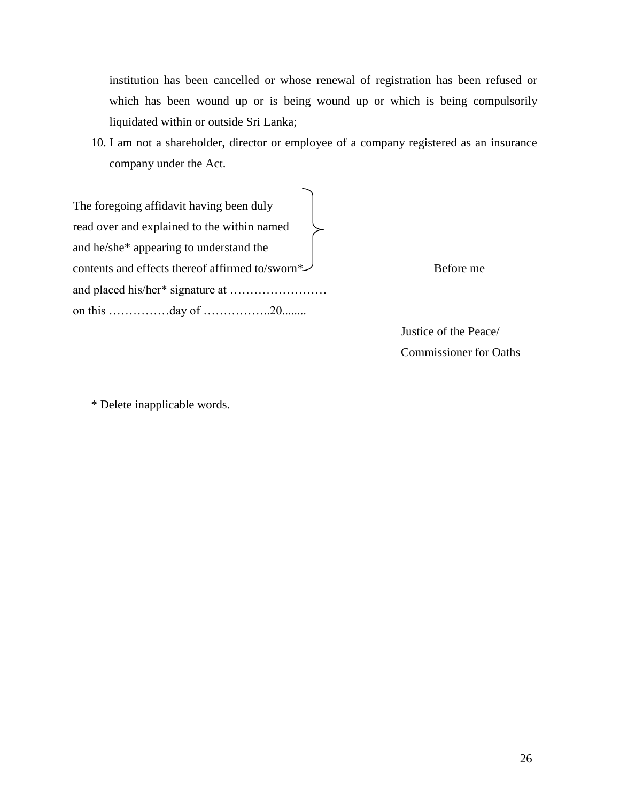institution has been cancelled or whose renewal of registration has been refused or which has been wound up or is being wound up or which is being compulsorily liquidated within or outside Sri Lanka;

10. I am not a shareholder, director or employee of a company registered as an insurance company under the Act.

The foregoing affidavit having been duly read over and explained to the within named and he/she\* appearing to understand the contents and effects thereof affirmed to/sworn\* $\mathcal{S}$ and placed his/her\* signature at …………………… on this ……………day of ……………..20........

 Justice of the Peace/ Commissioner for Oaths

\* Delete inapplicable words.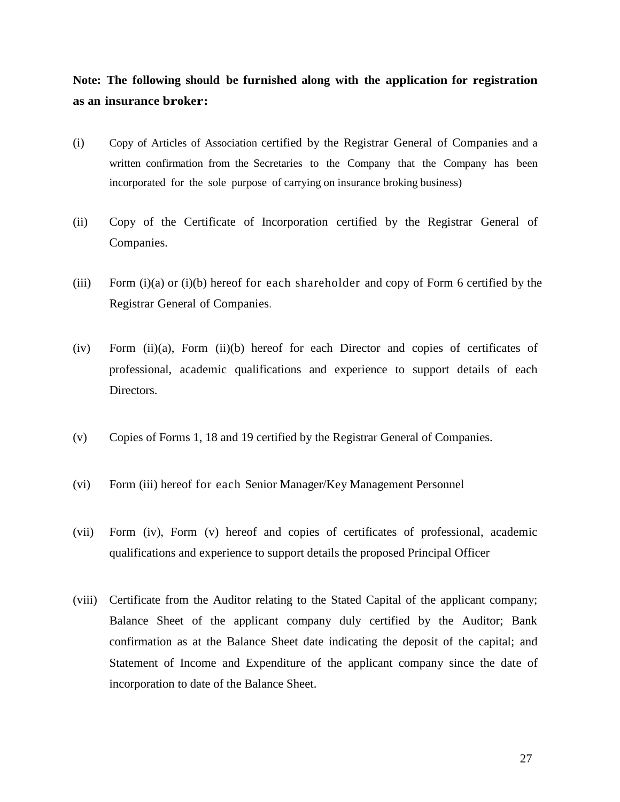**Note: The following should be furnished along with the application for registration as an insurance broker:**

- (i) Copy of Articles of Association certified by the Registrar General of Companies and a written confirmation from the Secretaries to the Company that the Company has been incorporated for the sole purpose of carrying on insurance broking business)
- (ii) Copy of the Certificate of Incorporation certified by the Registrar General of Companies.
- (iii) Form (i)(a) or (i)(b) hereof for each shareholder and copy of Form 6 certified by the Registrar General of Companies.
- (iv) Form (ii)(a), Form (ii)(b) hereof for each Director and copies of certificates of professional, academic qualifications and experience to support details of each Directors.
- (v) Copies of Forms 1, 18 and 19 certified by the Registrar General of Companies.
- (vi) Form (iii) hereof for each Senior Manager/Key Management Personnel
- (vii) Form (iv), Form (v) hereof and copies of certificates of professional, academic qualifications and experience to support details the proposed Principal Officer
- (viii) Certificate from the Auditor relating to the Stated Capital of the applicant company; Balance Sheet of the applicant company duly certified by the Auditor; Bank confirmation as at the Balance Sheet date indicating the deposit of the capital; and Statement of Income and Expenditure of the applicant company since the date of incorporation to date of the Balance Sheet.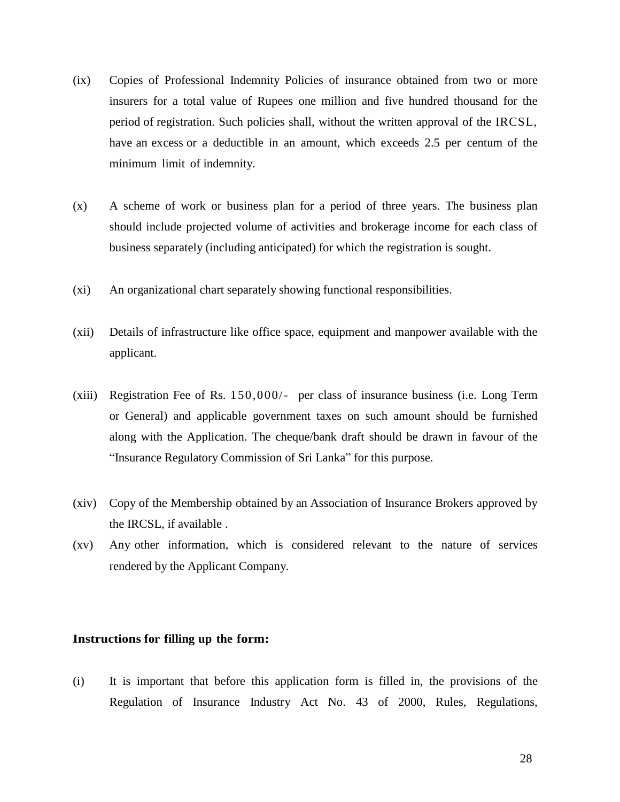- (ix) Copies of Professional Indemnity Policies of insurance obtained from two or more insurers for a total value of Rupees one million and five hundred thousand for the period of registration. Such policies shall, without the written approval of the IRCSL, have an excess or a deductible in an amount, which exceeds 2.5 per centum of the minimum limit of indemnity.
- (x) A scheme of work or business plan for a period of three years. The business plan should include projected volume of activities and brokerage income for each class of business separately (including anticipated) for which the registration is sought.
- (xi) An organizational chart separately showing functional responsibilities.
- (xii) Details of infrastructure like office space, equipment and manpower available with the applicant.
- (xiii) Registration Fee of Rs. 150,000/- per class of insurance business (i.e. Long Term or General) and applicable government taxes on such amount should be furnished along with the Application. The cheque/bank draft should be drawn in favour of the "Insurance Regulatory Commission of Sri Lanka" for this purpose.
- (xiv) Copy of the Membership obtained by an Association of Insurance Brokers approved by the IRCSL, if available .
- (xv) Any other information, which is considered relevant to the nature of services rendered by the Applicant Company.

#### **Instructions for filling up the form:**

(i) It is important that before this application form is filled in, the provisions of the Regulation of Insurance Industry Act No. 43 of 2000, Rules, Regulations,